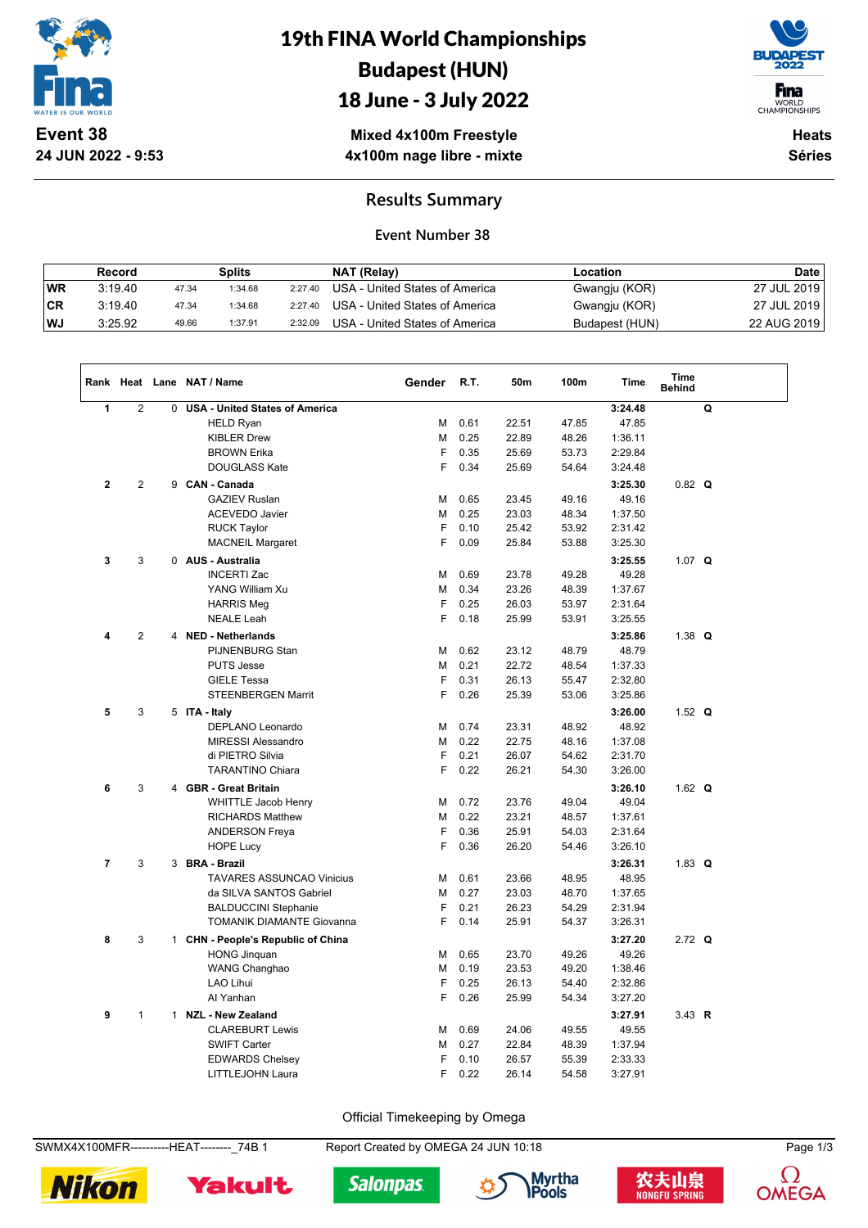

**24 JUN 2022 - 9:53**

# 19th FINA World Championships Budapest (HUN)





WORLD<br>CHAMPIONSHIPS

**Mixed 4x100m Freestyle 4x100m nage libre - mixte**

**Heats Séries**

### **Results Summary**

### **Event Number 38**

|           | Record  |       | Splits  |         | NAT (Relay)                    | Location       | <b>Date</b> |
|-----------|---------|-------|---------|---------|--------------------------------|----------------|-------------|
| <b>WR</b> | 3:19.40 | 47.34 | 1:34.68 | 2:27.40 | USA - United States of America | Gwangju (KOR)  | 27 JUL 2019 |
| ∣CR       | 3:19.40 | 47.34 | 1:34.68 | 2:27.40 | USA - United States of America | Gwangju (KOR)  | 27 JUL 2019 |
| l WJ      | 3:25.92 | 49.66 | 1:37.91 | 2:32.09 | USA - United States of America | Budapest (HUN) | 22 AUG 2019 |

|                |                   |   | Rank Heat Lane NAT / Name                                                                                                                                                                                                         | Gender                          | R.T.                                                 | 50m                                                         | 100m                                                        | Time                                                                                                   | Time<br><b>Behind</b> |   |  |
|----------------|-------------------|---|-----------------------------------------------------------------------------------------------------------------------------------------------------------------------------------------------------------------------------------|---------------------------------|------------------------------------------------------|-------------------------------------------------------------|-------------------------------------------------------------|--------------------------------------------------------------------------------------------------------|-----------------------|---|--|
| 1              | $\overline{2}$    | 0 | <b>USA - United States of America</b>                                                                                                                                                                                             |                                 |                                                      |                                                             |                                                             | 3:24.48                                                                                                |                       | Q |  |
|                |                   |   | <b>HELD Ryan</b>                                                                                                                                                                                                                  | м                               | 0.61                                                 | 22.51                                                       | 47.85                                                       | 47.85                                                                                                  |                       |   |  |
|                |                   |   | <b>KIBLER Drew</b>                                                                                                                                                                                                                | M                               | 0.25                                                 | 22.89                                                       | 48.26                                                       | 1:36.11                                                                                                |                       |   |  |
|                |                   |   | <b>BROWN Erika</b>                                                                                                                                                                                                                | F                               | 0.35                                                 | 25.69                                                       | 53.73                                                       | 2:29.84                                                                                                |                       |   |  |
|                |                   |   | <b>DOUGLASS Kate</b>                                                                                                                                                                                                              | F                               | 0.34                                                 | 25.69                                                       | 54.64                                                       | 3:24.48                                                                                                |                       |   |  |
| $\overline{2}$ | $\overline{2}$    |   | 9 CAN - Canada                                                                                                                                                                                                                    |                                 |                                                      |                                                             |                                                             | 3:25.30                                                                                                | $0.82$ Q              |   |  |
|                |                   |   | <b>GAZIEV Ruslan</b>                                                                                                                                                                                                              | М                               | 0.65                                                 | 23.45                                                       | 49.16                                                       | 49.16                                                                                                  |                       |   |  |
|                |                   |   | <b>ACEVEDO Javier</b>                                                                                                                                                                                                             | М                               | 0.25                                                 | 23.03                                                       | 48.34                                                       | 1:37.50                                                                                                |                       |   |  |
|                |                   |   | <b>RUCK Taylor</b>                                                                                                                                                                                                                | F                               | 0.10                                                 | 25.42                                                       | 53.92                                                       | 2:31.42                                                                                                |                       |   |  |
|                |                   |   | <b>MACNEIL Margaret</b>                                                                                                                                                                                                           | F                               | 0.09                                                 | 25.84                                                       | 53.88                                                       | 3:25.30                                                                                                |                       |   |  |
| 3              | 3                 |   | 0 AUS - Australia                                                                                                                                                                                                                 |                                 |                                                      |                                                             |                                                             | 3:25.55                                                                                                | 1.07 $Q$              |   |  |
|                |                   |   | <b>INCERTI Zac</b>                                                                                                                                                                                                                | M                               | 0.69                                                 | 23.78                                                       | 49.28                                                       | 49.28                                                                                                  |                       |   |  |
|                |                   |   | YANG William Xu                                                                                                                                                                                                                   | M                               | 0.34                                                 | 23.26                                                       | 48.39                                                       | 1:37.67                                                                                                |                       |   |  |
|                |                   |   | <b>HARRIS Meg</b>                                                                                                                                                                                                                 | F                               | 0.25                                                 | 26.03                                                       | 53.97                                                       | 2:31.64                                                                                                |                       |   |  |
|                |                   |   | <b>NEALE Leah</b>                                                                                                                                                                                                                 | F                               | 0.18                                                 | 25.99                                                       | 53.91                                                       | 3:25.55                                                                                                |                       |   |  |
| 4              | $\overline{2}$    |   | 4 NED - Netherlands                                                                                                                                                                                                               |                                 |                                                      |                                                             |                                                             | 3:25.86                                                                                                | 1.38 $Q$              |   |  |
|                |                   |   | PIJNENBURG Stan                                                                                                                                                                                                                   | М                               | 0.62                                                 | 23.12                                                       | 48.79                                                       | 48.79                                                                                                  |                       |   |  |
|                |                   |   | <b>PUTS Jesse</b>                                                                                                                                                                                                                 | М                               | 0.21                                                 | 22.72                                                       | 48.54                                                       | 1:37.33                                                                                                |                       |   |  |
|                |                   |   | <b>GIELE Tessa</b>                                                                                                                                                                                                                | F                               | 0.31                                                 | 26.13                                                       | 55.47                                                       | 2:32.80                                                                                                |                       |   |  |
|                |                   |   | STEENBERGEN Marrit                                                                                                                                                                                                                | F                               | 0.26                                                 | 25.39                                                       | 53.06                                                       | 3:25.86                                                                                                |                       |   |  |
| 5              | 3                 |   | 5 ITA - Italy                                                                                                                                                                                                                     |                                 |                                                      |                                                             |                                                             | 3:26.00                                                                                                | 1.52 $Q$              |   |  |
|                |                   |   | DEPLANO Leonardo                                                                                                                                                                                                                  | M                               | 0.74                                                 | 23.31                                                       | 48.92                                                       | 48.92                                                                                                  |                       |   |  |
|                |                   |   | <b>MIRESSI Alessandro</b>                                                                                                                                                                                                         | M                               | 0.22                                                 | 22.75                                                       | 48.16                                                       | 1:37.08                                                                                                |                       |   |  |
|                |                   |   | di PIETRO Silvia                                                                                                                                                                                                                  | F                               | 0.21                                                 | 26.07                                                       | 54.62                                                       | 2:31.70                                                                                                |                       |   |  |
|                |                   |   | <b>TARANTINO Chiara</b>                                                                                                                                                                                                           | F                               | 0.22                                                 | 26.21                                                       | 54.30                                                       | 3:26.00                                                                                                |                       |   |  |
| 6              | 3                 |   | 4 GBR - Great Britain                                                                                                                                                                                                             |                                 |                                                      |                                                             |                                                             | 3:26.10                                                                                                | 1.62 $Q$              |   |  |
|                |                   |   | <b>WHITTLE Jacob Henry</b>                                                                                                                                                                                                        | м                               | 0.72                                                 | 23.76                                                       | 49.04                                                       | 49.04                                                                                                  |                       |   |  |
|                |                   |   | <b>RICHARDS Matthew</b>                                                                                                                                                                                                           | M                               | 0.22                                                 | 23.21                                                       | 48.57                                                       | 1:37.61                                                                                                |                       |   |  |
|                |                   |   | <b>ANDERSON Freya</b>                                                                                                                                                                                                             | F                               | 0.36                                                 | 25.91                                                       | 54.03                                                       | 2:31.64                                                                                                |                       |   |  |
|                |                   |   | <b>HOPE Lucy</b>                                                                                                                                                                                                                  | F                               | 0.36                                                 | 26.20                                                       | 54.46                                                       | 3:26.10                                                                                                |                       |   |  |
| $\overline{7}$ | 3                 |   | 3 BRA - Brazil                                                                                                                                                                                                                    |                                 |                                                      |                                                             |                                                             | 3:26.31                                                                                                | 1.83 $Q$              |   |  |
|                |                   |   | <b>TAVARES ASSUNCAO Vinicius</b>                                                                                                                                                                                                  | M                               | 0.61                                                 | 23.66                                                       | 48.95                                                       | 48.95                                                                                                  |                       |   |  |
|                |                   |   | da SILVA SANTOS Gabriel                                                                                                                                                                                                           | М                               | 0.27                                                 | 23.03                                                       | 48.70                                                       | 1:37.65                                                                                                |                       |   |  |
|                |                   |   | <b>BALDUCCINI Stephanie</b>                                                                                                                                                                                                       | F                               | 0.21                                                 | 26.23                                                       | 54.29                                                       | 2:31.94                                                                                                |                       |   |  |
|                |                   |   | TOMANIK DIAMANTE Giovanna                                                                                                                                                                                                         | F                               | 0.14                                                 | 25.91                                                       | 54.37                                                       | 3:26.31                                                                                                |                       |   |  |
|                |                   |   |                                                                                                                                                                                                                                   |                                 |                                                      |                                                             |                                                             |                                                                                                        |                       |   |  |
|                |                   |   |                                                                                                                                                                                                                                   |                                 |                                                      |                                                             |                                                             |                                                                                                        |                       |   |  |
|                |                   |   |                                                                                                                                                                                                                                   |                                 |                                                      |                                                             |                                                             |                                                                                                        |                       |   |  |
|                |                   |   |                                                                                                                                                                                                                                   |                                 |                                                      |                                                             |                                                             |                                                                                                        |                       |   |  |
|                |                   |   |                                                                                                                                                                                                                                   |                                 |                                                      |                                                             |                                                             |                                                                                                        |                       |   |  |
|                |                   |   |                                                                                                                                                                                                                                   |                                 |                                                      |                                                             |                                                             |                                                                                                        |                       |   |  |
|                |                   |   |                                                                                                                                                                                                                                   |                                 |                                                      |                                                             |                                                             |                                                                                                        |                       |   |  |
|                |                   |   |                                                                                                                                                                                                                                   |                                 |                                                      |                                                             |                                                             |                                                                                                        |                       |   |  |
|                |                   |   |                                                                                                                                                                                                                                   |                                 |                                                      |                                                             |                                                             |                                                                                                        |                       |   |  |
|                |                   |   |                                                                                                                                                                                                                                   | F                               | 0.22                                                 | 26.14                                                       | 54.58                                                       |                                                                                                        |                       |   |  |
| 8<br>9         | 3<br>$\mathbf{1}$ |   | 1 CHN - People's Republic of China<br><b>HONG Jinquan</b><br><b>WANG Changhao</b><br>LAO Lihui<br>Al Yanhan<br>1 NZL - New Zealand<br><b>CLAREBURT Lewis</b><br><b>SWIFT Carter</b><br><b>EDWARDS Chelsey</b><br>LITTLEJOHN Laura | М<br>М<br>F<br>F<br>М<br>М<br>F | 0.65<br>0.19<br>0.25<br>0.26<br>0.69<br>0.27<br>0.10 | 23.70<br>23.53<br>26.13<br>25.99<br>24.06<br>22.84<br>26.57 | 49.26<br>49.20<br>54.40<br>54.34<br>49.55<br>48.39<br>55.39 | 3:27.20<br>49.26<br>1:38.46<br>2:32.86<br>3:27.20<br>3:27.91<br>49.55<br>1:37.94<br>2:33.33<br>3:27.91 | 2.72 $Q$<br>3.43 $R$  |   |  |

Official Timekeeping by Omega

SWMX4X100MFR----------HEAT--------\_74B 1 Report Created by OMEGA 24 JUN 10:18 Page 1/3









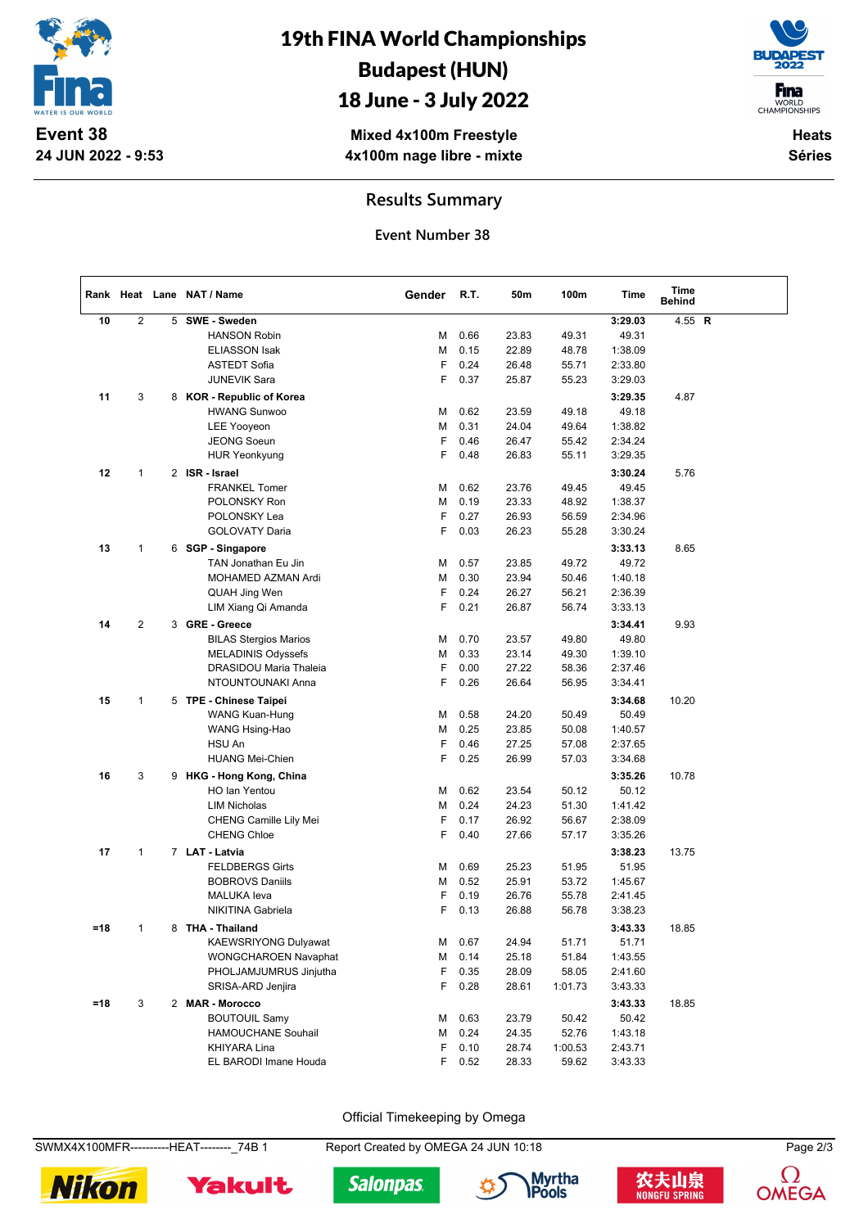

# 19th FINA World Championships Budapest (HUN)

## 18 June - 3 July 2022

**Mixed 4x100m Freestyle 4x100m nage libre - mixte**

**Heats Séries**

**F**ina WORLD<br>CHAMPIONSHIPS

### **Results Summary**

**Event Number 38**

|       |              |   | Rank Heat Lane NAT / Name    | Gender | R.T. | 50m   | 100m    | Time    | Time<br>Behind |  |
|-------|--------------|---|------------------------------|--------|------|-------|---------|---------|----------------|--|
| 10    | $\mathbf{2}$ | 5 | SWE - Sweden                 |        |      |       |         | 3:29.03 | 4.55 R         |  |
|       |              |   | <b>HANSON Robin</b>          | M      | 0.66 | 23.83 | 49.31   | 49.31   |                |  |
|       |              |   | <b>ELIASSON Isak</b>         | M      | 0.15 | 22.89 | 48.78   | 1:38.09 |                |  |
|       |              |   | <b>ASTEDT Sofia</b>          | F      | 0.24 | 26.48 | 55.71   | 2:33.80 |                |  |
|       |              |   | <b>JUNEVIK Sara</b>          | F      | 0.37 | 25.87 | 55.23   | 3:29.03 |                |  |
| 11    | 3            |   | 8 KOR - Republic of Korea    |        |      |       |         | 3:29.35 | 4.87           |  |
|       |              |   | <b>HWANG Sunwoo</b>          | M      | 0.62 | 23.59 | 49.18   | 49.18   |                |  |
|       |              |   | <b>LEE Yooyeon</b>           | М      | 0.31 | 24.04 | 49.64   | 1:38.82 |                |  |
|       |              |   | <b>JEONG Soeun</b>           | F      | 0.46 | 26.47 | 55.42   | 2:34.24 |                |  |
|       |              |   | <b>HUR Yeonkyung</b>         | F      | 0.48 | 26.83 | 55.11   | 3:29.35 |                |  |
| 12    | 1            |   | 2 ISR - Israel               |        |      |       |         | 3:30.24 | 5.76           |  |
|       |              |   | <b>FRANKEL Tomer</b>         | M      | 0.62 | 23.76 | 49.45   | 49.45   |                |  |
|       |              |   | POLONSKY Ron                 | М      | 0.19 | 23.33 | 48.92   | 1:38.37 |                |  |
|       |              |   | POLONSKY Lea                 | F      | 0.27 | 26.93 | 56.59   | 2:34.96 |                |  |
|       |              |   | GOLOVATY Daria               | F      | 0.03 | 26.23 | 55.28   | 3:30.24 |                |  |
| 13    | 1            |   | 6 SGP - Singapore            |        |      |       |         | 3:33.13 | 8.65           |  |
|       |              |   | TAN Jonathan Eu Jin          | M      | 0.57 | 23.85 | 49.72   | 49.72   |                |  |
|       |              |   | <b>MOHAMED AZMAN Ardi</b>    | М      | 0.30 | 23.94 | 50.46   | 1:40.18 |                |  |
|       |              |   | QUAH Jing Wen                | F      | 0.24 | 26.27 | 56.21   | 2:36.39 |                |  |
|       |              |   | LIM Xiang Qi Amanda          | F      | 0.21 | 26.87 | 56.74   | 3:33.13 |                |  |
|       |              |   |                              |        |      |       |         |         |                |  |
| 14    | 2            |   | 3 GRE - Greece               |        |      |       |         | 3:34.41 | 9.93           |  |
|       |              |   | <b>BILAS Stergios Marios</b> | М      | 0.70 | 23.57 | 49.80   | 49.80   |                |  |
|       |              |   | <b>MELADINIS Odyssefs</b>    | М      | 0.33 | 23.14 | 49.30   | 1:39.10 |                |  |
|       |              |   | DRASIDOU Maria Thaleia       | F      | 0.00 | 27.22 | 58.36   | 2:37.46 |                |  |
|       |              |   | NTOUNTOUNAKI Anna            | F      | 0.26 | 26.64 | 56.95   | 3:34.41 |                |  |
| 15    | 1            |   | 5 TPE - Chinese Taipei       |        |      |       |         | 3:34.68 | 10.20          |  |
|       |              |   | WANG Kuan-Hung               | М      | 0.58 | 24.20 | 50.49   | 50.49   |                |  |
|       |              |   | WANG Hsing-Hao               | М      | 0.25 | 23.85 | 50.08   | 1:40.57 |                |  |
|       |              |   | HSU An                       | F      | 0.46 | 27.25 | 57.08   | 2:37.65 |                |  |
|       |              |   | <b>HUANG Mei-Chien</b>       | F      | 0.25 | 26.99 | 57.03   | 3:34.68 |                |  |
| 16    | 3            |   | 9 HKG - Hong Kong, China     |        |      |       |         | 3:35.26 | 10.78          |  |
|       |              |   | HO Ian Yentou                | M      | 0.62 | 23.54 | 50.12   | 50.12   |                |  |
|       |              |   | <b>LIM Nicholas</b>          | M      | 0.24 | 24.23 | 51.30   | 1:41.42 |                |  |
|       |              |   | CHENG Camille Lily Mei       | F      | 0.17 | 26.92 | 56.67   | 2:38.09 |                |  |
|       |              |   | <b>CHENG Chloe</b>           | F      | 0.40 | 27.66 | 57.17   | 3:35.26 |                |  |
| 17    | $\mathbf{1}$ |   | 7 LAT - Latvia               |        |      |       |         | 3:38.23 | 13.75          |  |
|       |              |   | <b>FELDBERGS Girts</b>       | М      | 0.69 | 25.23 | 51.95   | 51.95   |                |  |
|       |              |   | <b>BOBROVS Daniils</b>       | М      | 0.52 | 25.91 | 53.72   | 1:45.67 |                |  |
|       |              |   | MALUKA leva                  | F      | 0.19 | 26.76 | 55.78   | 2:41.45 |                |  |
|       |              |   | NIKITINA Gabriela            | F      | 0.13 | 26.88 | 56.78   | 3:38.23 |                |  |
| =18   | 1            |   | 8 THA - Thailand             |        |      |       |         | 3:43.33 | 18.85          |  |
|       |              |   | <b>KAEWSRIYONG Dulyawat</b>  | М      | 0.67 | 24.94 | 51.71   | 51.71   |                |  |
|       |              |   | <b>WONGCHAROEN Navaphat</b>  | М      | 0.14 | 25.18 | 51.84   | 1:43.55 |                |  |
|       |              |   | PHOLJAMJUMRUS Jinjutha       | F      | 0.35 | 28.09 | 58.05   | 2:41.60 |                |  |
|       |              |   | SRISA-ARD Jenjira            | F      | 0.28 | 28.61 | 1:01.73 | 3:43.33 |                |  |
| $=18$ | 3            |   | 2 MAR - Morocco              |        |      |       |         | 3:43.33 | 18.85          |  |
|       |              |   | <b>BOUTOUIL Samy</b>         | М      | 0.63 | 23.79 | 50.42   | 50.42   |                |  |
|       |              |   | HAMOUCHANE Souhail           | М      | 0.24 | 24.35 | 52.76   | 1:43.18 |                |  |
|       |              |   | KHIYARA Lina                 | F      | 0.10 | 28.74 | 1:00.53 | 2:43.71 |                |  |
|       |              |   | EL BARODI Imane Houda        | F      | 0.52 | 28.33 | 59.62   | 3:43.33 |                |  |

Official Timekeeping by Omega

SWMX4X100MFR----------HEAT--------\_74B 1 Report Created by OMEGA 24 JUN 10:18 Page 2/3